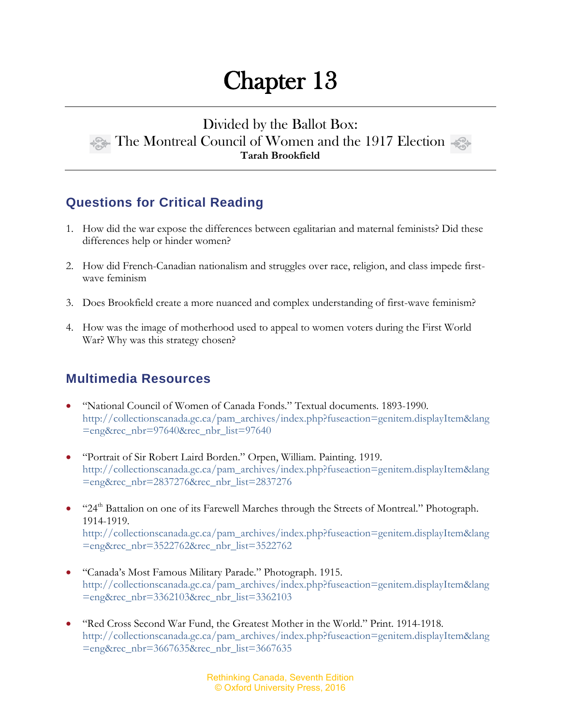# Chapter 13

## Divided by the Ballot Box: The Montreal Council of Women and the 1917 Election **Tarah Brookfield**

# **Questions for Critical Reading**

- 1. How did the war expose the differences between egalitarian and maternal feminists? Did these differences help or hinder women?
- 2. How did French-Canadian nationalism and struggles over race, religion, and class impede firstwave feminism
- 3. Does Brookfield create a more nuanced and complex understanding of first-wave feminism?
- 4. How was the image of motherhood used to appeal to women voters during the First World War? Why was this strategy chosen?

## **Multimedia Resources**

- "National Council of Women of Canada Fonds." Textual documents. 1893-1990. [http://collectionscanada.gc.ca/pam\\_archives/index.php?fuseaction=genitem.displayItem&lang](http://collectionscanada.gc.ca/pam_archives/index.php?fuseaction=genitem.displayItem&lang=eng&rec_nbr=97640&rec_nbr_list=97640) [=eng&rec\\_nbr=97640&rec\\_nbr\\_list=97640](http://collectionscanada.gc.ca/pam_archives/index.php?fuseaction=genitem.displayItem&lang=eng&rec_nbr=97640&rec_nbr_list=97640)
- "Portrait of Sir Robert Laird Borden." Orpen, William. Painting. 1919. [http://collectionscanada.gc.ca/pam\\_archives/index.php?fuseaction=genitem.displayItem&lang](http://collectionscanada.gc.ca/pam_archives/index.php?fuseaction=genitem.displayItem&lang=eng&rec_nbr=2837276&rec_nbr_list=2837276) [=eng&rec\\_nbr=2837276&rec\\_nbr\\_list=2837276](http://collectionscanada.gc.ca/pam_archives/index.php?fuseaction=genitem.displayItem&lang=eng&rec_nbr=2837276&rec_nbr_list=2837276)
- "24<sup>th</sup> Battalion on one of its Farewell Marches through the Streets of Montreal." Photograph. 1914-1919.

http://collectionscanada.gc.ca/pam\_archives/index.php?fuseaction=genitem.displayItem&lang =eng&rec\_nbr=3522762&rec\_nbr\_list=3522762

- "Canada's Most Famous Military Parade." Photograph. 1915. [http://collectionscanada.gc.ca/pam\\_archives/index.php?fuseaction=genitem.displayItem&lang](http://collectionscanada.gc.ca/pam_archives/index.php?fuseaction=genitem.displayItem&lang=eng&rec_nbr=3362103&rec_nbr_list=3362103) [=eng&rec\\_nbr=3362103&rec\\_nbr\\_list=3362103](http://collectionscanada.gc.ca/pam_archives/index.php?fuseaction=genitem.displayItem&lang=eng&rec_nbr=3362103&rec_nbr_list=3362103)
- "Red Cross Second War Fund, the Greatest Mother in the World." Print. 1914-1918. [http://collectionscanada.gc.ca/pam\\_archives/index.php?fuseaction=genitem.displayItem&lang](http://collectionscanada.gc.ca/pam_archives/index.php?fuseaction=genitem.displayItem&lang=eng&rec_nbr=3667635&rec_nbr_list=3667635) [=eng&rec\\_nbr=3667635&rec\\_nbr\\_list=3667635](http://collectionscanada.gc.ca/pam_archives/index.php?fuseaction=genitem.displayItem&lang=eng&rec_nbr=3667635&rec_nbr_list=3667635)

Rethinking Canada, Seventh Edition © Oxford University Press, 2016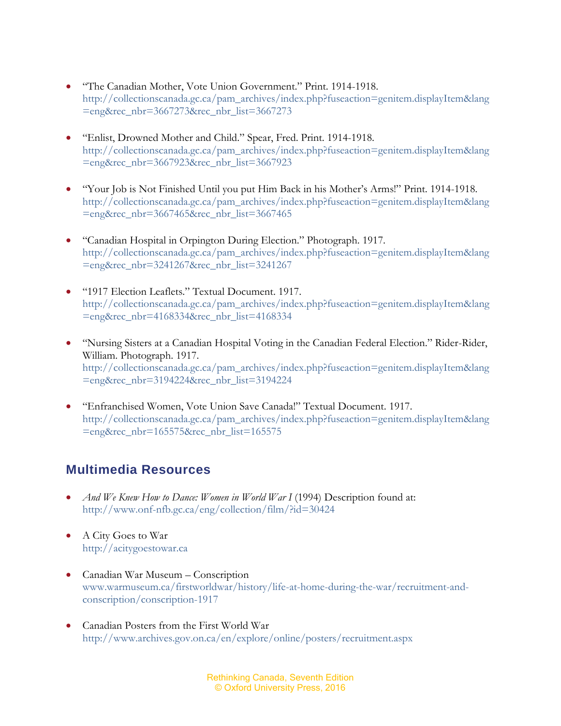- "The Canadian Mother, Vote Union Government." Print. 1914-1918. [http://collectionscanada.gc.ca/pam\\_archives/index.php?fuseaction=genitem.displayItem&lang](http://collectionscanada.gc.ca/pam_archives/index.php?fuseaction=genitem.displayItem&lang=eng&rec_nbr=3667273&rec_nbr_list=3667273) [=eng&rec\\_nbr=3667273&rec\\_nbr\\_list=3667273](http://collectionscanada.gc.ca/pam_archives/index.php?fuseaction=genitem.displayItem&lang=eng&rec_nbr=3667273&rec_nbr_list=3667273)
- "Enlist, Drowned Mother and Child." Spear, Fred. Print. 1914-1918. [http://collectionscanada.gc.ca/pam\\_archives/index.php?fuseaction=genitem.displayItem&lang](http://collectionscanada.gc.ca/pam_archives/index.php?fuseaction=genitem.displayItem&lang=eng&rec_nbr=3667923&rec_nbr_list=3667923) [=eng&rec\\_nbr=3667923&rec\\_nbr\\_list=3667923](http://collectionscanada.gc.ca/pam_archives/index.php?fuseaction=genitem.displayItem&lang=eng&rec_nbr=3667923&rec_nbr_list=3667923)
- "Your Job is Not Finished Until you put Him Back in his Mother's Arms!" Print. 1914-1918. [http://collectionscanada.gc.ca/pam\\_archives/index.php?fuseaction=genitem.displayItem&lang](http://collectionscanada.gc.ca/pam_archives/index.php?fuseaction=genitem.displayItem&lang=eng&rec_nbr=3667465&rec_nbr_list=3667465) [=eng&rec\\_nbr=3667465&rec\\_nbr\\_list=3667465](http://collectionscanada.gc.ca/pam_archives/index.php?fuseaction=genitem.displayItem&lang=eng&rec_nbr=3667465&rec_nbr_list=3667465)
- "Canadian Hospital in Orpington During Election." Photograph. 1917. [http://collectionscanada.gc.ca/pam\\_archives/index.php?fuseaction=genitem.displayItem&lang](http://collectionscanada.gc.ca/pam_archives/index.php?fuseaction=genitem.displayItem&lang=eng&rec_nbr=3241267&rec_nbr_list=3241267) [=eng&rec\\_nbr=3241267&rec\\_nbr\\_list=3241267](http://collectionscanada.gc.ca/pam_archives/index.php?fuseaction=genitem.displayItem&lang=eng&rec_nbr=3241267&rec_nbr_list=3241267)
- "1917 Election Leaflets." Textual Document. 1917. [http://collectionscanada.gc.ca/pam\\_archives/index.php?fuseaction=genitem.displayItem&lang](http://collectionscanada.gc.ca/pam_archives/index.php?fuseaction=genitem.displayItem&lang=eng&rec_nbr=4168334&rec_nbr_list=4168334) [=eng&rec\\_nbr=4168334&rec\\_nbr\\_list=4168334](http://collectionscanada.gc.ca/pam_archives/index.php?fuseaction=genitem.displayItem&lang=eng&rec_nbr=4168334&rec_nbr_list=4168334)
- "Nursing Sisters at a Canadian Hospital Voting in the Canadian Federal Election." Rider-Rider, William. Photograph. 1917. [http://collectionscanada.gc.ca/pam\\_archives/index.php?fuseaction=genitem.displayItem&lang](http://collectionscanada.gc.ca/pam_archives/index.php?fuseaction=genitem.displayItem&lang=eng&rec_nbr=3194224&rec_nbr_list=3194224) [=eng&rec\\_nbr=3194224&rec\\_nbr\\_list=3194224](http://collectionscanada.gc.ca/pam_archives/index.php?fuseaction=genitem.displayItem&lang=eng&rec_nbr=3194224&rec_nbr_list=3194224)
- "Enfranchised Women, Vote Union Save Canada!" Textual Document. 1917. [http://collectionscanada.gc.ca/pam\\_archives/index.php?fuseaction=genitem.displayItem&lang](http://collectionscanada.gc.ca/pam_archives/index.php?fuseaction=genitem.displayItem&lang=eng&rec_nbr=165575&rec_nbr_list=165575) [=eng&rec\\_nbr=165575&rec\\_nbr\\_list=165575](http://collectionscanada.gc.ca/pam_archives/index.php?fuseaction=genitem.displayItem&lang=eng&rec_nbr=165575&rec_nbr_list=165575)

#### **Multimedia Resources**

- *And We Knew How to Dance: Women in World War I* (1994) Description found at: <http://www.onf-nfb.gc.ca/eng/collection/film/?id=30424>
- A City Goes to War [http://acitygoestowar.ca](http://acitygoestowar.ca/)
- Canadian War Museum Conscription [www.warmuseum.ca/firstworldwar/history/life-at-home-during-the-war/recruitment-and](http://www.warmuseum.ca/firstworldwar/history/life-at-home-during-the-war/recruitment-and-conscription/conscription-1917)[conscription/conscription-1917](http://www.warmuseum.ca/firstworldwar/history/life-at-home-during-the-war/recruitment-and-conscription/conscription-1917)
- Canadian Posters from the First World War <http://www.archives.gov.on.ca/en/explore/online/posters/recruitment.aspx>

Rethinking Canada, Seventh Edition © Oxford University Press, 2016